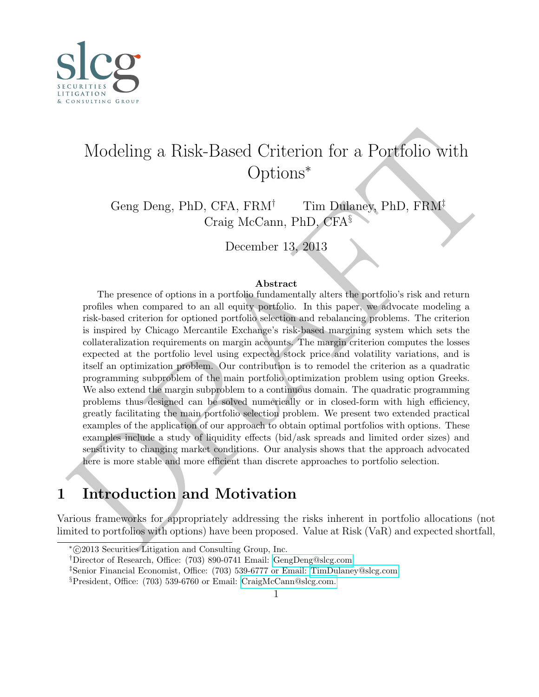<span id="page-0-0"></span>

# Modeling a Risk-Based Criterion for a Portfolio with Options<sup>∗</sup>

Geng Deng, PhD, CFA,  $FRM^{\dagger}$  Tim Dulaney, PhD,  $FRM^{\dagger}$ Craig McCann, PhD, CFA§

December 13, 2013

#### Abstract

Modeling a Risk-Based Criterion for a Portfolio with Options\*<br>
Options\* Craig McCann, PhD (FFA), FRM<sup>†</sup><br>
Craig McCann, PhD (FFA), FRM<sup>†</sup><br>
Craig McCann, PhD (FFA<sup>)</sup><br>
December 13, 2013<br>
The presence of options in a portfoli The presence of options in a portfolio fundamentally alters the portfolio's risk and return profiles when compared to an all equity portfolio. In this paper, we advocate modeling a risk-based criterion for optioned portfolio selection and rebalancing problems. The criterion is inspired by Chicago Mercantile Exchange's risk-based margining system which sets the collateralization requirements on margin accounts. The margin criterion computes the losses expected at the portfolio level using expected stock price and volatility variations, and is itself an optimization problem. Our contribution is to remodel the criterion as a quadratic programming subproblem of the main portfolio optimization problem using option Greeks. We also extend the margin subproblem to a continuous domain. The quadratic programming problems thus designed can be solved numerically or in closed-form with high efficiency, greatly facilitating the main portfolio selection problem. We present two extended practical examples of the application of our approach to obtain optimal portfolios with options. These examples include a study of liquidity effects (bid/ask spreads and limited order sizes) and sensitivity to changing market conditions. Our analysis shows that the approach advocated here is more stable and more efficient than discrete approaches to portfolio selection.

## 1 Introduction and Motivation

Various frameworks for appropriately addressing the risks inherent in portfolio allocations (not limited to portfolios with options) have been proposed. Value at Risk (VaR) and expected shortfall,

<sup>∗</sup> c 2013 Securities Litigation and Consulting Group, Inc.

<sup>†</sup>Director of Research, Office: (703) 890-0741 Email: [GengDeng@slcg.com](mailto:GengDeng@slcg.com)

<sup>‡</sup>Senior Financial Economist, Office: (703) 539-6777 or Email: [TimDulaney@slcg.com](mailto:TimDulaney@slcg.com)

<sup>§</sup>President, Office: (703) 539-6760 or Email: [CraigMcCann@slcg.com.](mailto:CraigMcCann@slcg.com)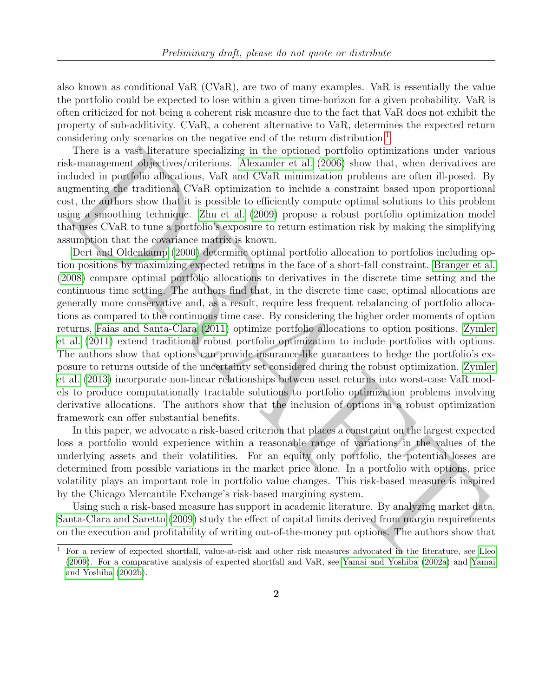also known as conditional VaR (CVaR), are two of many examples. VaR is essentially the value the portfolio could be expected to lose within a given time-horizon for a given probability. VaR is often criticized for not being a coherent risk measure due to the fact that VaR does not exhibit the property of sub-additivity. CVaR, a coherent alternative to VaR, determines the expected return considering only scenarios on the negative end of the return distribution.<sup>[1](#page-0-0)</sup>

There is a vast literature specializing in the optioned portfolio optimizations under various risk-management objectives/criterions. Alexander et al. (2006) show that, when derivatives are included in portfolio allocations, VaR and CVaR minimization problems are often ill-posed. By augmenting the traditional CVaR optimization to include a constraint based upon proportional cost, the authors show that it is possible to efficiently compute optimal solutions to this problem using a smoothing technique. Zhu et al. (2009) propose a robust portfolio optimization model that uses CVaR to tune a portfolio's exposure to return estimation risk by making the simplifying assumption that the covariance matrix is known.

[T](#page-22-4)here is a vary<br>Iliterative specializing in the optiomal particle opticalizing in the proposition of<br>measurement dipletives/eriterions. Alexander et al. (2006) show that, when derivatives a<br>chedd in portfolio allegations, Dert and Oldenkamp (2000) determine optimal portfolio allocation to portfolios including option positions by maximizing expected returns in the face of a short-fall constraint. [Branger et al.](#page-21-2) [\(2008\)](#page-21-2) compare optimal portfolio allocations to derivatives in the discrete time setting and the continuous time setting. The authors find that, in the discrete time case, optimal allocations are generally more conservative and, as a result, require less frequent rebalancing of portfolio allocations as compared to the continuous time case. By considering the higher order moments of option returns, Faias and Santa-Clara (2011) optimize portfolio allocations to option positions. Zymler [et al.](#page-22-1) (2011) extend traditional robust portfolio optimization to include portfolios with options. The authors show that options can provide insurance-like guarantees to hedge the portfolio's exposure to returns outside of the uncertainty set considered during the robust optimization. [Zymler](#page-22-2) [et al.](#page-22-2) (2013) incorporate non-linear relationships between asset returns into worst-case VaR models to produce computationally tractable solutions to portfolio optimization problems involving derivative allocations. The authors show that the inclusion of options in a robust optimization framework can offer substantial benefits.

In this paper, we advocate a risk-based criterion that places a constraint on the largest expected loss a portfolio would experience within a reasonable range of variations in the values of the underlying assets and their volatilities. For an equity only portfolio, the potential losses are determined from possible variations in the market price alone. In a portfolio with options, price volatility plays an important role in portfolio value changes. This risk-based measure is inspired by the Chicago Mercantile Exchange's risk-based margining system.

Using such a risk-based measure has support in academic literature. By analyzing market data, Santa-Clara and Saretto (2009) study the effect of capital limits derived from margin requirements on the execution and profitability of writing out-of-the-money put options. The authors show that

<sup>&</sup>lt;sup>1</sup> For a review of expected shortfall, value-at-risk and other risk measures advocated in the literature, see [Lleo](#page-21-4) (2009). For a comparative analysis of expected shortfall and VaR, see Yamai and Yoshiba (2002a) and Yamai [and Yoshiba](#page-22-5) [\(2002b\)](#page-22-5).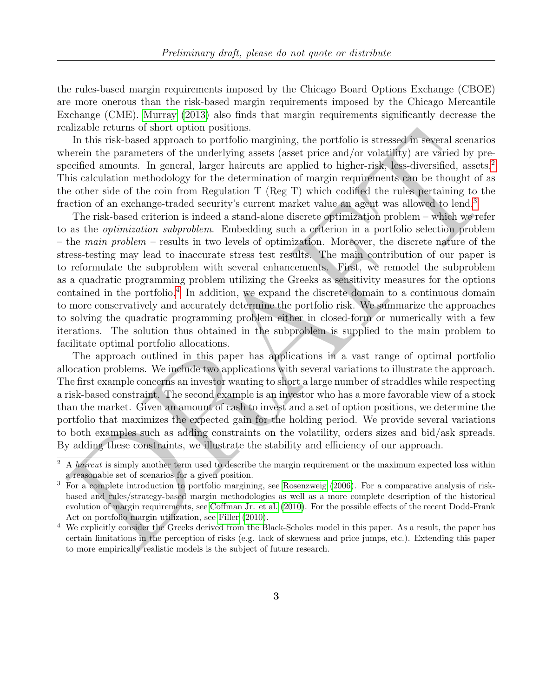the rules-based margin requirements imposed by the Chicago Board Options Exchange (CBOE) are more onerous than the risk-based margin requirements imposed by the Chicago Mercantile Exchange (CME). [Murray](#page-21-5) [\(2013\)](#page-21-5) also finds that margin requirements significantly decrease the realizable returns of short option positions.

In this risk-based approach to portfolio margining, the portfolio is stressed in several scenarios wherein the parameters of the underlying assets (asset price and/or volatility) are varied by pre-specified amounts. In general, larger haircuts are applied to higher-risk, less-diversified, assets.<sup>[2](#page-0-0)</sup> This calculation methodology for the determination of margin requirements can be thought of as the other side of the coin from Regulation T (Reg T) which codified the rules pertaining to the fraction of an exchange-traded security's current market value an agent was allowed to lend.<sup>3</sup>

ntance centure or stort optical<br>is magning, the portfolio is stressed in segral scenario in this risk-based approach to portfolio margining, the portfolio is stressed in segral scenario<br>certified amounts. In general, harg The risk-based criterion is indeed a stand-alone discrete optimization problem – which we refer to as the optimization subproblem. Embedding such a criterion in a portfolio selection problem – the main problem – results in two levels of optimization. Moreover, the discrete nature of the stress-testing may lead to inaccurate stress test results. The main contribution of our paper is to reformulate the subproblem with several enhancements. First, we remodel the subproblem as a quadratic programming problem utilizing the Greeks as sensitivity measures for the options contained in the portfolio.<sup>4</sup> In addition, we expand the discrete domain to a continuous domain to more conservatively and accurately determine the portfolio risk. We summarize the approaches to solving the quadratic programming problem either in closed-form or numerically with a few iterations. The solution thus obtained in the subproblem is supplied to the main problem to facilitate optimal portfolio allocations.

The approach outlined in this paper has applications in a vast range of optimal portfolio allocation problems. We include two applications with several variations to illustrate the approach. The first example concerns an investor wanting to short a large number of straddles while respecting a risk-based constraint. The second example is an investor who has a more favorable view of a stock than the market. Given an amount of cash to invest and a set of option positions, we determine the portfolio that maximizes the expected gain for the holding period. We provide several variations to both examples such as adding constraints on the volatility, orders sizes and bid/ask spreads. By adding these constraints, we illustrate the stability and efficiency of our approach.

 $^{2}$  A *haircut* is simply another term used to describe the margin requirement or the maximum expected loss within a reasonable set of scenarios for a given position.

<sup>3</sup> For a complete introduction to portfolio margining, see Rosenzweig (2006). For a comparative analysis of riskbased and rules/strategy-based margin methodologies as well as a more complete description of the historical evolution of margin requirements, see Coffman Jr. et al. (2010). For the possible effects of the recent Dodd-Frank Act on portfolio margin utilization, see Filler (2010).

<sup>&</sup>lt;sup>4</sup> We explicitly consider the Greeks derived from the Black-Scholes model in this paper. As a result, the paper has certain limitations in the perception of risks (e.g. lack of skewness and price jumps, etc.). Extending this paper to more empirically realistic models is the subject of future research.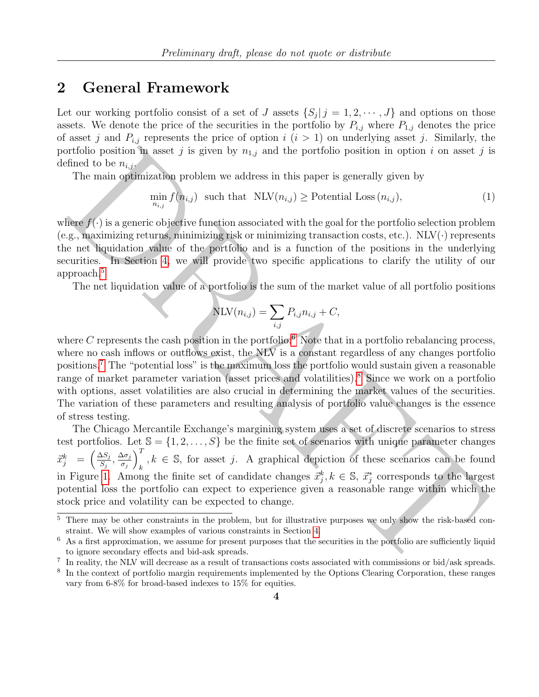#### <span id="page-3-2"></span>2 General Framework

Let our working portfolio consist of a set of J assets  $\{S_j | j = 1, 2, \dots, J\}$  and options on those assets. We denote the price of the securities in the portfolio by  $P_{i,j}$  where  $P_{1,j}$  denotes the price of asset j and  $P_{i,j}$  represents the price of option  $i$   $(i > 1)$  on underlying asset j. Similarly, the portfolio position in asset j is given by  $n_{1,j}$  and the portfolio position in option i on asset j is defined to be  $n_{i,j}$ .

The main optimization problem we address in this paper is generally given by

$$
\min_{n_{i,j}} f(n_{i,j}) \text{ such that } \text{NLV}(n_{i,j}) \ge \text{Potential Loss}(n_{i,j}), \tag{1}
$$

where  $f(\cdot)$  is a generic objective function associated with the goal for the portfolio selection problem (e.g., maximizing returns, minimizing risk or minimizing transaction costs, etc.).  $NLV(\cdot)$  represents the net liquidation value of the portfolio and is a function of the positions in the underlying securities. In Section 4, we will provide two specific applications to clarify the utility of our approach.<sup>5</sup>

<span id="page-3-1"></span>The net liquidation value of a portfolio is the sum of the market value of all portfolio positions

<span id="page-3-0"></span>
$$
NLV(n_{i,j}) = \sum_{i,j} P_{i,j} n_{i,j} + C,
$$

articlio position in asset  $j$  is given by  $n_{1,j}$  and the portfolio position in option  $i$  on asset  $j$  if<br>The main optimization problem we address in this paper is generally given by<br>The main optimization problem we add where C represents the cash position in the portfolio.<sup>6</sup> Note that in a portfolio rebalancing process, where no cash inflows or outflows exist, the NLV is a constant regardless of any changes portfolio positions.<sup>7</sup> The "potential loss" is the maximum loss the portfolio would sustain given a reasonable range of market parameter variation (asset prices and volatilities).<sup>8</sup> Since we work on a portfolio with options, asset volatilities are also crucial in determining the market values of the securities. The variation of these parameters and resulting analysis of portfolio value changes is the essence of stress testing.

The Chicago Mercantile Exchange's margining system uses a set of discrete scenarios to stress test portfolios. Let  $\mathbb{S} = \{1, 2, ..., S\}$  be the finite set of scenarios with unique parameter changes  $\vec{x}_j^k = \begin{pmatrix} \frac{\Delta S_j}{S_i} \end{pmatrix}$  $\frac{\Delta S_j}{S_j}, \frac{\Delta \sigma_j}{\sigma_j}$  $\sigma_j$  $\setminus^T$  $k, k \in \mathbb{S}$ , for asset j. A graphical depiction of these scenarios can be found in Figure 1. Among the finite set of candidate changes  $\vec{x}_j^k, k \in \mathbb{S}, \vec{x}_j^*$  corresponds to the largest potential loss the portfolio can expect to experience given a reasonable range within which the stock price and volatility can be expected to change.

<sup>&</sup>lt;sup>5</sup> There may be other constraints in the problem, but for illustrative purposes we only show the risk-based constraint. We will show examples of various constraints in Section 4.

 $6$  As a first approximation, we assume for present purposes that the securities in the portfolio are sufficiently liquid to ignore secondary effects and bid-ask spreads.

<sup>&</sup>lt;sup>7</sup> In reality, the NLV will decrease as a result of transactions costs associated with commissions or bid/ask spreads.

<sup>&</sup>lt;sup>8</sup> In the context of portfolio margin requirements implemented by the Options Clearing Corporation, these ranges vary from 6-8% for broad-based indexes to 15% for equities.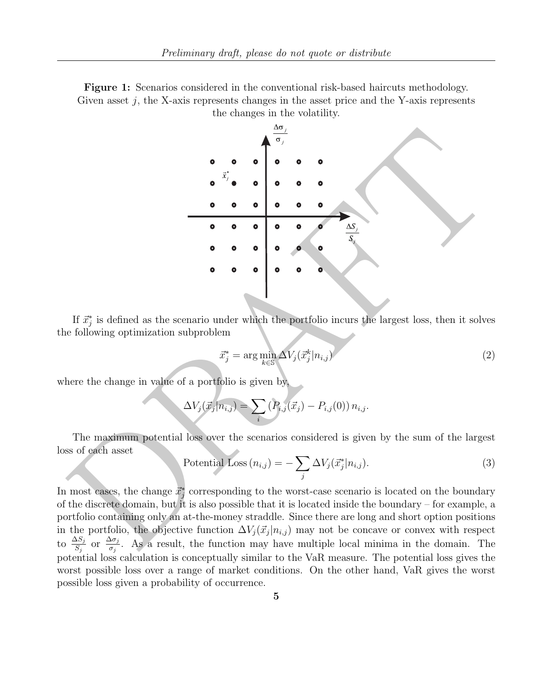<span id="page-4-0"></span>Figure 1: Scenarios considered in the conventional risk-based haircuts methodology. Given asset  $j$ , the X-axis represents changes in the asset price and the Y-axis represents



If  $\vec{x}_j^*$  is defined as the scenario under which the portfolio incurs the largest loss, then it solves the following optimization subproblem

$$
\vec{x}_j^* = \arg\min_{k \in \mathbb{S}} \Delta V_j(\vec{x}_j^k | n_{i,j}) \tag{2}
$$

where the change in value of a portfolio is given by

$$
\Delta V_j(\vec{x}_j | n_{i,j}) = \sum_i (P_{i,j}(\vec{x}_j) - P_{i,j}(0)) n_{i,j}.
$$

The maximum potential loss over the scenarios considered is given by the sum of the largest loss of each asset

Potential Loss 
$$
(n_{i,j}) = -\sum_{j} \Delta V_j(\vec{x}_j^* | n_{i,j}).
$$
 (3)

In most cases, the change  $\vec{x}_j^*$  corresponding to the worst-case scenario is located on the boundary of the discrete domain, but it is also possible that it is located inside the boundary – for example, a portfolio containing only an at-the-money straddle. Since there are long and short option positions in the portfolio, the objective function  $\Delta V_j(\vec{x}_j | n_{i,j})$  may not be concave or convex with respect to  $\frac{\Delta S_j}{S_j}$  or  $\frac{\Delta \sigma_j}{\sigma_j}$  $\frac{\partial \sigma_j}{\partial \sigma_j}$ . As a result, the function may have multiple local minima in the domain. The potential loss calculation is conceptually similar to the VaR measure. The potential loss gives the worst possible loss over a range of market conditions. On the other hand, VaR gives the worst possible loss given a probability of occurrence.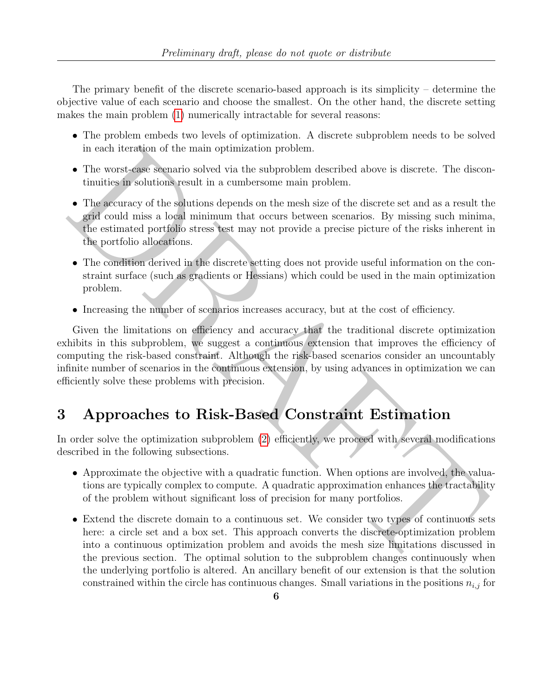The primary benefit of the discrete scenario-based approach is its simplicity – determine the objective value of each scenario and choose the smallest. On the other hand, the discrete setting makes the main problem [\(1\)](#page-3-0) numerically intractable for several reasons:

- The problem embeds two levels of optimization. A discrete subproblem needs to be solved in each iteration of the main optimization problem.
- The worst-case scenario solved via the subproblem described above is discrete. The discontinuities in solutions result in a cumbersome main problem.
- The accuracy of the solutions depends on the mesh size of the discrete set and as a result the grid could miss a local minimum that occurs between scenarios. By missing such minima, the estimated portfolio stress test may not provide a precise picture of the risks inherent in the portfolio allocations.
- The condition derived in the discrete setting does not provide useful information on the constraint surface (such as gradients or Hessians) which could be used in the main optimization problem.
- Increasing the number of scenarios increases accuracy, but at the cost of efficiency.

in cach iteration of the main optimization problem.<br>
• The security and iterations belowed via the subproblem described above is discrete. The discontinuities in solutions result in a cumbersome main problem.<br>
• The accur Given the limitations on efficiency and accuracy that the traditional discrete optimization exhibits in this subproblem, we suggest a continuous extension that improves the efficiency of computing the risk-based constraint. Although the risk-based scenarios consider an uncountably infinite number of scenarios in the continuous extension, by using advances in optimization we can efficiently solve these problems with precision.

## 3 Approaches to Risk-Based Constraint Estimation

In order solve the optimization subproblem (2) efficiently, we proceed with several modifications described in the following subsections.

- Approximate the objective with a quadratic function. When options are involved, the valuations are typically complex to compute. A quadratic approximation enhances the tractability of the problem without significant loss of precision for many portfolios.
- Extend the discrete domain to a continuous set. We consider two types of continuous sets here: a circle set and a box set. This approach converts the discrete-optimization problem into a continuous optimization problem and avoids the mesh size limitations discussed in the previous section. The optimal solution to the subproblem changes continuously when the underlying portfolio is altered. An ancillary benefit of our extension is that the solution constrained within the circle has continuous changes. Small variations in the positions  $n_{i,j}$  for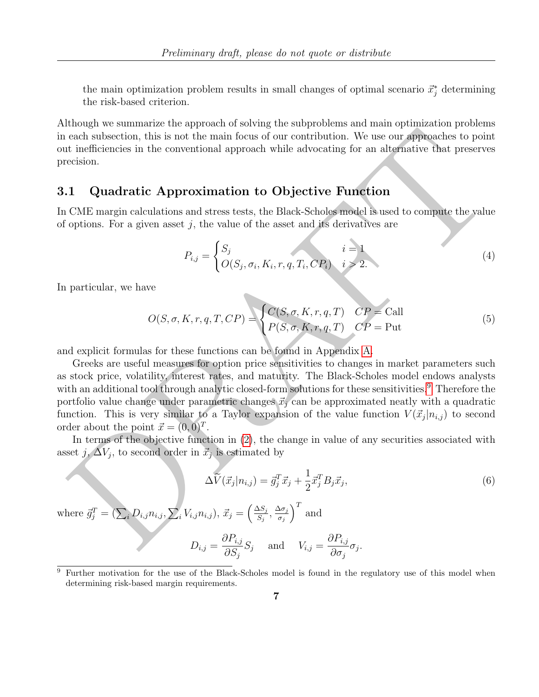the main optimization problem results in small changes of optimal scenario  $\vec{x}_j^*$  determining the risk-based criterion.

Although we summarize the approach of solving the subproblems and main optimization problems in each subsection, this is not the main focus of our contribution. We use our approaches to point out inefficiencies in the conventional approach while advocating for an alternative that preserves precision.

#### 3.1 Quadratic Approximation to Objective Function

In CME margin calculations and stress tests, the Black-Scholes model is used to compute the value of options. For a given asset  $j$ , the value of the asset and its derivatives are

$$
P_{i,j} = \begin{cases} S_j & i = 1 \\ O(S_j, \sigma_i, K_i, r, q, T_i, CP_i) & i > 2. \end{cases}
$$
 (4)

In particular, we have

$$
O(S, \sigma, K, r, q, T, CP) = \begin{cases} C(S, \sigma, K, r, q, T) & CP = \text{Call} \\ P(S, \sigma, K, r, q, T) & CP = \text{Put} \end{cases}
$$
(5)

and explicit formulas for these functions can be found in Appendix A.

Greeks are useful measures for option price sensitivities to changes in market parameters such as stock price, volatility, interest rates, and maturity. The Black-Scholes model endows analysts with an additional tool through analytic closed-form solutions for these sensitivities.<sup>9</sup> Therefore the portfolio value change under parametric changes  $\vec{x}_i$  can be approximated neatly with a quadratic function. This is very similar to a Taylor expansion of the value function  $V(\vec{x}_j | n_{i,j})$  to second order about the point  $\vec{x} = (0, 0)^T$ .

In terms of the objective function in (2), the change in value of any securities associated with asset j,  $\Delta V_j$ , to second order in  $\vec{x}_j$  is estimated by

in each subsection, this is not the main focus of our contribution. We use our approaches to point out inefficiencies in the conventional approach while advocating for an alternative that preserves precision.\n\n**3.1 Quadratic Approximation to Objective Function**\nIn CME margin calculations and stress tests, the Black-Scholes model is used to compute the value of options. For a given asset *j*, the value of the asset and its derivatives are\n
$$
P_{i,j} = \begin{cases}\nS_j & i = 1 \\
O(S_j, \sigma_i, K_i, r, q, T_i, CP_i) & i \geq 2.\n\end{cases}
$$
\nIn particular, we have\n
$$
O(S, \sigma, K, r, q, T, CP) = \begin{cases}\nC(S, \sigma, K, r, q, T) & CP = \text{Call} \\
P(S, \sigma_i, K_i, r, q, T) & CP = \text{Put}\n\end{cases}
$$
\nand explicit formulas for these functions can be found in Appendix A.\n\nGreeks are useful measures for option price sensitivity to change in market parameters such as stock price, volatility, interest rates, and maturity. The Black-Scholes model endows analysts with an additional tool through analytic closed-form solutions for these sensitivities.<sup>9</sup> Therefore the portfolio value change under parametric changes  $\vec{x}_j$  can be approximated neatly with a quadratic function. This is very similar to a Taylor expansion of the value function  $V(\vec{x}_j|n_{ij})$  to second order in  $\vec{x}_j$  is estimated by\n
$$
\Delta \vec{V}(\vec{x}_j|n_{ij}) = \vec{g}_j^T \vec{x}_j + \frac{1}{2} \vec{x}_j^T B_j \vec{x}_j,
$$
\n(6)\nwhere  $\vec{g}_j^T = (\sum_i D_{i,j} n_{i,j}, \sum_i V_{i,j} n_{i,j}), \vec{x}_j = (\frac{\Delta S}{S_j}, \frac{\Delta \sigma_j}{\sigma_j})^T$  and\n
$$
D_{i,j} = \frac{\partial P_{i,j}}{\partial S_j} S_j
$$
 and  $V_{i,j} = \frac{\partial P_{i,j}}{\partial \sigma_j} \sigma_j$ .

<sup>9</sup> Further motivation for the use of the Black-Scholes model is found in the regulatory use of this model when determining risk-based margin requirements.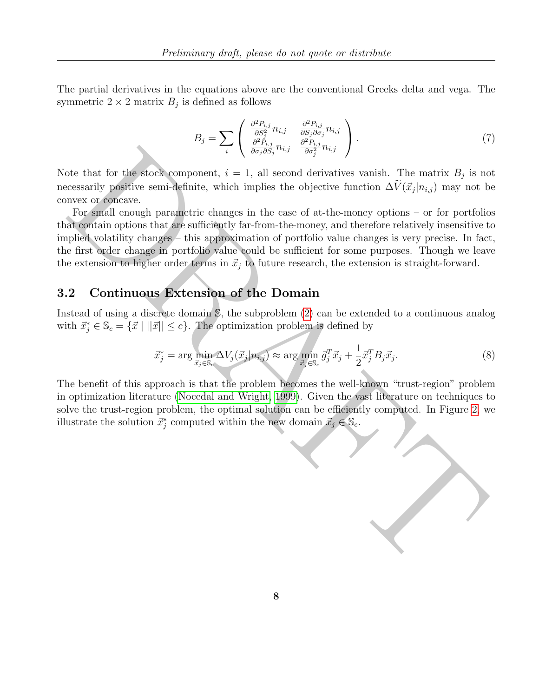The partial derivatives in the equations above are the conventional Greeks delta and vega. The symmetric  $2 \times 2$  matrix  $B_j$  is defined as follows

$$
B_j = \sum_i \begin{pmatrix} \frac{\partial^2 P_{i,j}}{\partial S_j^2} n_{i,j} & \frac{\partial^2 P_{i,j}}{\partial S_j \partial \sigma_j} n_{i,j} \\ \frac{\partial^2 P_{i,j}}{\partial \sigma_j \partial S_j} n_{i,j} & \frac{\partial^2 P_{i,j}}{\partial \sigma_j^2} n_{i,j} \end{pmatrix} . \tag{7}
$$

Note that for the stock component,  $i = 1$ , all second derivatives vanish. The matrix  $B_j$  is not necessarily positive semi-definite, which implies the objective function  $\Delta V(\vec{x}_j | n_{i,j})$  may not be convex or concave.

**Example 12**<br>
The book component,  $i = 1$ , all second derivatives vanish. The matrix  $B_j$  is no<br>
resessarily positive semi-definite, which implies the objective function  $\Delta V(\vec{x}_j | n_{i,j})$  may not b<br>
resessarily positive sem For small enough parametric changes in the case of at-the-money options – or for portfolios that contain options that are sufficiently far-from-the-money, and therefore relatively insensitive to implied volatility changes – this approximation of portfolio value changes is very precise. In fact, the first order change in portfolio value could be sufficient for some purposes. Though we leave the extension to higher order terms in  $\vec{x}_j$  to future research, the extension is straight-forward.

#### 3.2 Continuous Extension of the Domain

Instead of using a discrete domain S, the subproblem (2) can be extended to a continuous analog with  $\vec{x}_j^* \in \mathbb{S}_c = {\{\vec{x} \mid ||\vec{x}|| \leq c\}}.$  The optimization problem is defined by

$$
\vec{x}_j^* = \arg\min_{\vec{x}_j \in \mathbb{S}_c} \Delta V_j(\vec{x}_j | n_{i,j}) \approx \arg\min_{\vec{x}_j \in \mathbb{S}_c} \vec{g}_j^T \vec{x}_j + \frac{1}{2} \vec{x}_j^T B_j \vec{x}_j. \tag{8}
$$

The benefit of this approach is that the problem becomes the well-known "trust-region" problem in optimization literature (Nocedal and Wright, 1999). Given the vast literature on techniques to solve the trust-region problem, the optimal solution can be efficiently computed. In Figure 2, we illustrate the solution  $\vec{x}_j^*$  computed within the new domain  $\vec{x}_j \in \mathbb{S}_c$ .

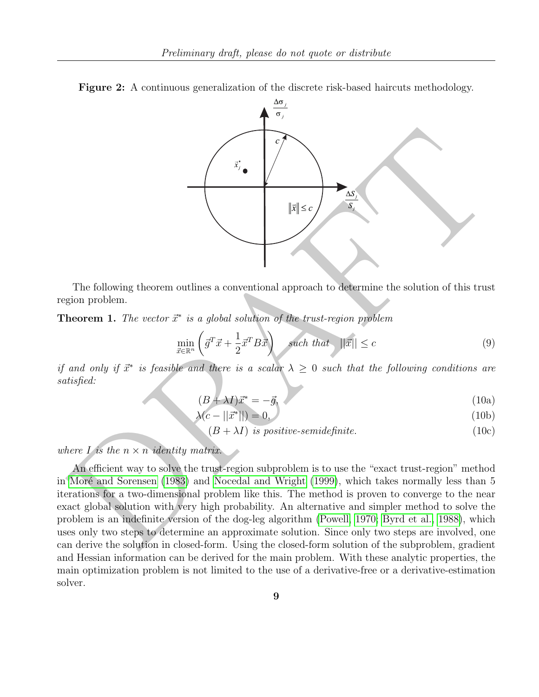<span id="page-8-0"></span>

Figure 2: A continuous generalization of the discrete risk-based haircuts methodology.

The following theorem outlines a conventional approach to determine the solution of this trust region problem.

**Theorem 1.** The vector  $\vec{x}^*$  is a global solution of the trust-region problem

$$
\min_{\vec{x}\in\mathbb{R}^n} \left( \vec{g}^T \vec{x} + \frac{1}{2} \vec{x}^T B \vec{x} \right) \quad \text{such that} \quad ||\vec{x}|| \le c \tag{9}
$$

if and only if  $\vec{x}^*$  is feasible and there is a scalar  $\lambda \geq 0$  such that the following conditions are satisfied:

$$
(B + \lambda I)\vec{x}^* = -\vec{g},\tag{10a}
$$

$$
\lambda(c - ||\vec{x}^*||) = 0,\tag{10b}
$$

$$
(B + \lambda I) is positive-semidefinite. \t(10c)
$$

where I is the  $n \times n$  identity matrix.

An efficient way to solve the trust-region subproblem is to use the "exact trust-region" method in Moré and Sorensen (1983) and Nocedal and Wright (1999), which takes normally less than 5 iterations for a two-dimensional problem like this. The method is proven to converge to the near exact global solution with very high probability. An alternative and simpler method to solve the problem is an indefinite version of the dog-leg algorithm (Powell, 1970; Byrd et al., 1988), which uses only two steps to determine an approximate solution. Since only two steps are involved, one can derive the solution in closed-form. Using the closed-form solution of the subproblem, gradient and Hessian information can be derived for the main problem. With these analytic properties, the main optimization problem is not limited to the use of a derivative-free or a derivative-estimation solver.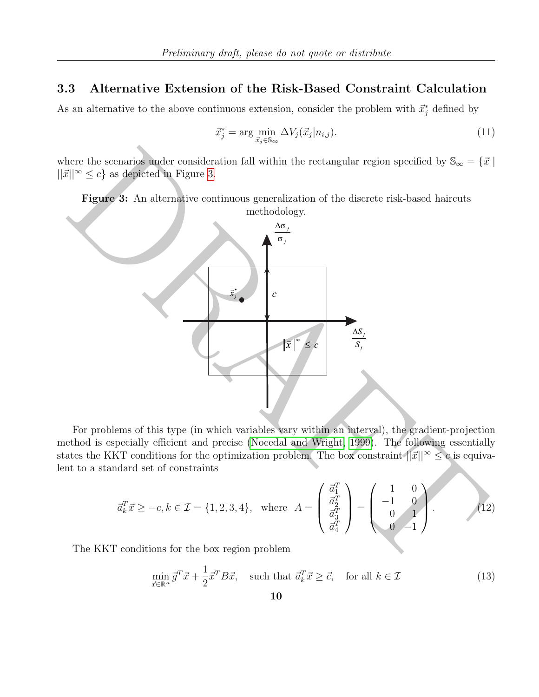#### 3.3 Alternative Extension of the Risk-Based Constraint Calculation

As an alternative to the above continuous extension, consider the problem with  $\vec{x}_j^*$  defined by

$$
\vec{x}_j^* = \arg\min_{\vec{x}_j \in \mathbb{S}_{\infty}} \Delta V_j(\vec{x}_j | n_{i,j}). \tag{11}
$$

where the scenarios under consideration fall within the rectangular region specified by  $\mathbb{S}_{\infty} = \{ \vec{x} \mid$  $||\vec{x}||^{\infty} \leq c$  as depicted in Figure 3.

<span id="page-9-0"></span>Figure 3: An alternative continuous generalization of the discrete risk-based haircuts



For problems of this type (in which variables vary within an interval), the gradient-projection method is especially efficient and precise (Nocedal and Wright, 1999). The following essentially states the KKT conditions for the optimization problem. The box constraint  $||\vec{x}||^{\infty} \leq c$  is equivalent to a standard set of constraints

$$
\vec{a}_k^T \vec{x} \ge -c, k \in \mathcal{I} = \{1, 2, 3, 4\}, \text{ where } A = \begin{pmatrix} \vec{a}_1^T \\ \vec{a}_2^T \\ \vec{a}_3^T \\ \vec{a}_4^T \end{pmatrix} = \begin{pmatrix} 1 & 0 \\ -1 & 0 \\ 0 & 1 \\ 0 & -1 \end{pmatrix}.
$$
 (12)

The KKT conditions for the box region problem

$$
\min_{\vec{x}\in\mathbb{R}^n} \vec{g}^T \vec{x} + \frac{1}{2} \vec{x}^T B \vec{x}, \quad \text{such that } \vec{a}_k^T \vec{x} \ge \vec{c}, \quad \text{for all } k \in \mathcal{I}
$$
\n
$$
(13)
$$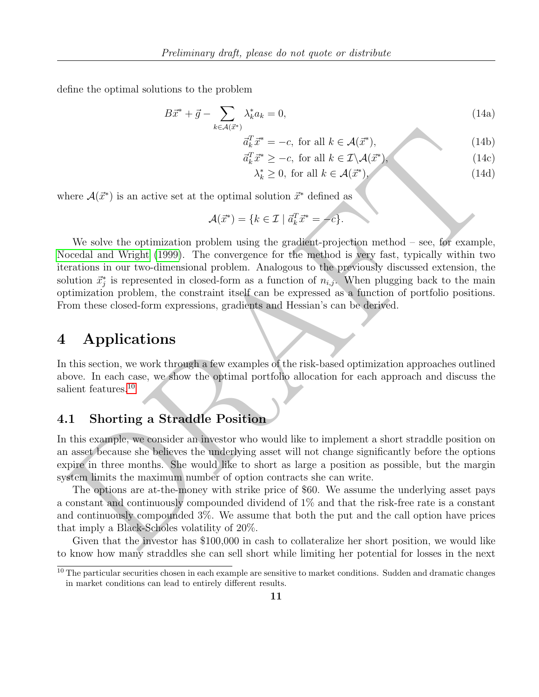define the optimal solutions to the problem

$$
B\vec{x}^* + \vec{g} - \sum_{k \in \mathcal{A}(\vec{x}^*)} \lambda_k^* a_k = 0,\tag{14a}
$$

$$
\vec{a}_k^T \vec{x}^* = -c, \text{ for all } k \in \mathcal{A}(\vec{x}^*), \tag{14b}
$$

$$
\vec{a}_k^T \vec{x}^* \ge -c, \text{ for all } k \in \mathcal{I} \backslash \mathcal{A}(\vec{x}^*), \tag{14c}
$$

$$
\lambda_k^* \ge 0, \text{ for all } k \in \mathcal{A}(\vec{x}^*), \tag{14d}
$$

where  $\mathcal{A}(\vec{x}^*)$  is an active set at the optimal solution  $\vec{x}^*$  defined as

$$
\mathcal{A}(\vec{x}^*) = \{k \in \mathcal{I} \mid \vec{a}_k^T \vec{x}^* = -c\}.
$$

 $\begin{array}{ll} \delta^T_+x^*=-c, \text{ for all } k\in \mathcal{A}(\vec{x}^*), \\ \delta^T_+x^*=-c, \text{ for all } k\in \mathcal{A}(\vec{x}^*) \end{array} \qquad \qquad \text{(14b)}\\[14pt] \begin{array}{ll} \delta^T_+x^*=2c, \text{ for all } k\in \mathcal{A}(\vec{x}^*) \end{array} \qquad \qquad \text{(14c)}\\[15pt] \begin{array}{ll} \lambda^*_k\geq 0, \text{ for all } k\in \mathcal{A}(\vec{x}^*) \end{array} \qquad \qquad \text{(14d)}$ We solve the optimization problem using the gradient-projection method – see, for example, Nocedal and Wright (1999). The convergence for the method is very fast, typically within two iterations in our two-dimensional problem. Analogous to the previously discussed extension, the solution  $\vec{x}_j^*$  is represented in closed-form as a function of  $n_{i,j}$ . When plugging back to the main optimization problem, the constraint itself can be expressed as a function of portfolio positions. From these closed-form expressions, gradients and Hessian's can be derived.

### <span id="page-10-0"></span>4 Applications

In this section, we work through a few examples of the risk-based optimization approaches outlined above. In each case, we show the optimal portfolio allocation for each approach and discuss the salient features.<sup>10</sup>

### 4.1 Shorting a Straddle Position

In this example, we consider an investor who would like to implement a short straddle position on an asset because she believes the underlying asset will not change significantly before the options expire in three months. She would like to short as large a position as possible, but the margin system limits the maximum number of option contracts she can write.

The options are at-the-money with strike price of \$60. We assume the underlying asset pays a constant and continuously compounded dividend of 1% and that the risk-free rate is a constant and continuously compounded 3%. We assume that both the put and the call option have prices that imply a Black-Scholes volatility of 20%.

Given that the investor has \$100,000 in cash to collateralize her short position, we would like to know how many straddles she can sell short while limiting her potential for losses in the next

 $10$  The particular securities chosen in each example are sensitive to market conditions. Sudden and dramatic changes in market conditions can lead to entirely different results.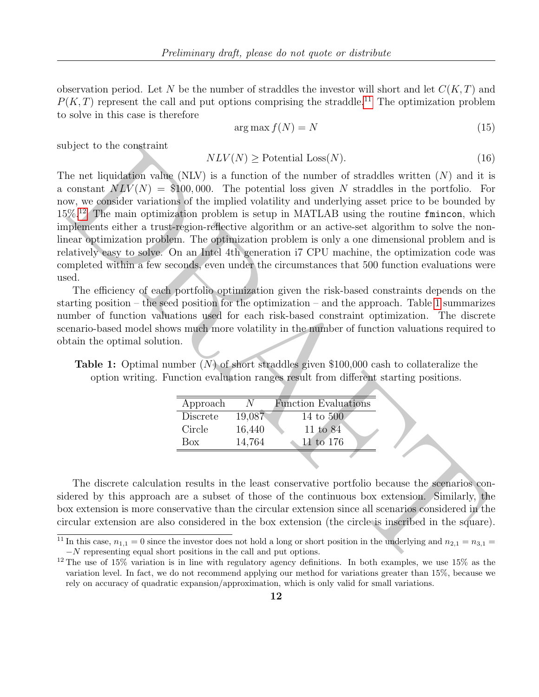observation period. Let N be the number of straddles the investor will short and let  $C(K,T)$  and  $P(K,T)$  represent the call and put options comprising the straddle.<sup>[11](#page-0-0)</sup> The optimization problem to solve in this case is therefore

$$
\arg\max f(N) = N \tag{15}
$$

subject to the constraint

$$
NLV(N) \geq \text{Potential Loss}(N). \tag{16}
$$

 $NLV(N) \geq$  Potential Loss(A).<br>
the net liquidation value (NLV) is a function of the number of straddles written (N) and it is constant  $NEV(N) = 8100,000$ . The potential loss given N straddles in the portfolio. For a constant The net liquidation value (NLV) is a function of the number of straddles written  $(N)$  and it is a constant  $NLV(N) = $100,000$ . The potential loss given N straddles in the portfolio. For now, we consider variations of the implied volatility and underlying asset price to be bounded by  $15\%$ <sup>12</sup> The main optimization problem is setup in MATLAB using the routine fmincon, which implements either a trust-region-reflective algorithm or an active-set algorithm to solve the nonlinear optimization problem. The optimization problem is only a one dimensional problem and is relatively easy to solve. On an Intel 4th generation i7 CPU machine, the optimization code was completed within a few seconds, even under the circumstances that 500 function evaluations were used.

The efficiency of each portfolio optimization given the risk-based constraints depends on the starting position – the seed position for the optimization – and the approach. Table 1 summarizes number of function valuations used for each risk-based constraint optimization. The discrete scenario-based model shows much more volatility in the number of function valuations required to obtain the optimal solution.

<span id="page-11-0"></span>**Table 1:** Optimal number  $(N)$  of short straddles given \$100,000 cash to collateralize the option writing. Function evaluation ranges result from different starting positions.

| Approach | N.     | <b>Function Evaluations</b> |
|----------|--------|-----------------------------|
| Discrete | 19,087 | 14 to 500                   |
| Circle   | 16,440 | 11 to 84                    |
| Box      | 14.764 | $11 \text{ to } 176$        |
|          |        |                             |

The discrete calculation results in the least conservative portfolio because the scenarios considered by this approach are a subset of those of the continuous box extension. Similarly, the box extension is more conservative than the circular extension since all scenarios considered in the circular extension are also considered in the box extension (the circle is inscribed in the square).

<sup>&</sup>lt;sup>11</sup> In this case,  $n_{1,1} = 0$  since the investor does not hold a long or short position in the underlying and  $n_{2,1} = n_{3,1}$ −N representing equal short positions in the call and put options.

<sup>&</sup>lt;sup>12</sup> The use of 15% variation is in line with regulatory agency definitions. In both examples, we use 15% as the variation level. In fact, we do not recommend applying our method for variations greater than 15%, because we rely on accuracy of quadratic expansion/approximation, which is only valid for small variations.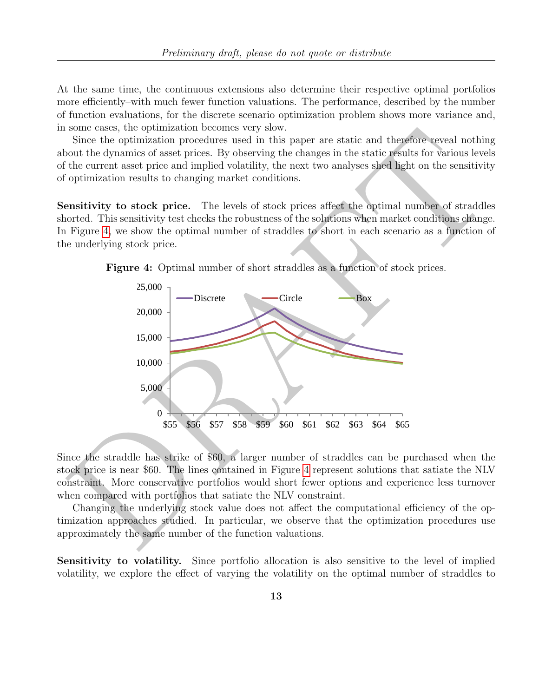At the same time, the continuous extensions also determine their respective optimal portfolios more efficiently–with much fewer function valuations. The performance, described by the number of function evaluations, for the discrete scenario optimization problem shows more variance and, in some cases, the optimization becomes very slow.

Since the optimization procedures used in this paper are static and therefore reveal nothing about the dynamics of asset prices. By observing the changes in the static results for various levels of the current asset price and implied volatility, the next two analyses shed light on the sensitivity of optimization results to changing market conditions.

Sensitivity to stock price. The levels of stock prices affect the optimal number of straddles shorted. This sensitivity test checks the robustness of the solutions when market conditions change. In Figure 4, we show the optimal number of straddles to short in each scenario as a function of the underlying stock price.

<span id="page-12-0"></span>



Since the straddle has strike of \$60, a larger number of straddles can be purchased when the stock price is near \$60. The lines contained in Figure 4 represent solutions that satiate the NLV constraint. More conservative portfolios would short fewer options and experience less turnover when compared with portfolios that satiate the NLV constraint.

Changing the underlying stock value does not affect the computational efficiency of the optimization approaches studied. In particular, we observe that the optimization procedures use approximately the same number of the function valuations.

Sensitivity to volatility. Since portfolio allocation is also sensitive to the level of implied volatility, we explore the effect of varying the volatility on the optimal number of straddles to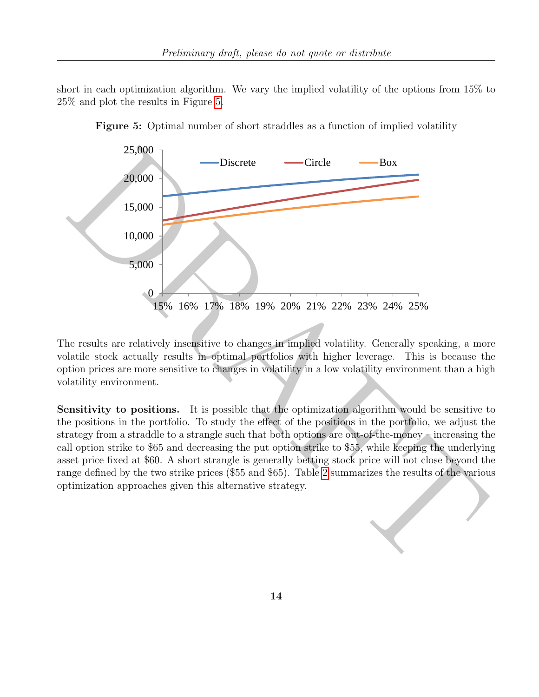short in each optimization algorithm. We vary the implied volatility of the options from 15% to 25% and plot the results in Figure [5.](#page-13-0)

<span id="page-13-0"></span>

Figure 5: Optimal number of short straddles as a function of implied volatility

The results are relatively insensitive to changes in implied volatility. Generally speaking, a more volatile stock actually results in optimal portfolios with higher leverage. This is because the option prices are more sensitive to changes in volatility in a low volatility environment than a high volatility environment.

Sensitivity to positions. It is possible that the optimization algorithm would be sensitive to the positions in the portfolio. To study the effect of the positions in the portfolio, we adjust the strategy from a straddle to a strangle such that both options are out-of-the-money  $\sim$  increasing the call option strike to \$65 and decreasing the put option strike to \$55, while keeping the underlying asset price fixed at \$60. A short strangle is generally betting stock price will not close beyond the range defined by the two strike prices (\$55 and \$65). Table 2 summarizes the results of the various optimization approaches given this alternative strategy.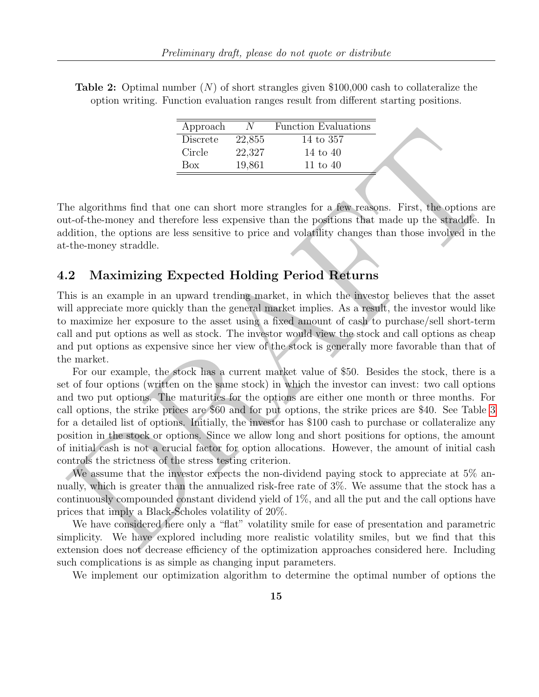<span id="page-14-0"></span>**Table 2:** Optimal number  $(N)$  of short strangles given \$100,000 cash to collateralize the option writing. Function evaluation ranges result from different starting positions.

| Approach   | N.     | <b>Function Evaluations</b> |
|------------|--------|-----------------------------|
| Discrete   | 22,855 | 14 to 357                   |
| Circle     | 22,327 | 14 to 40                    |
| <b>Box</b> | 19,861 | 11 to $40$                  |

The algorithms find that one can short more strangles for a few reasons. First, the options are out-of-the-money and therefore less expensive than the positions that made up the straddle. In addition, the options are less sensitive to price and volatility changes than those involved in the at-the-money straddle.

#### 4.2 Maximizing Expected Holding Period Returns

This is an example in an upward trending market, in which the investor believes that the asset will appreciate more quickly than the general market implies. As a result, the investor would like to maximize her exposure to the asset using a fixed amount of cash to purchase/sell short-term call and put options as well as stock. The investor would view the stock and call options as cheap and put options as expensive since her view of the stock is generally more favorable than that of the market.

**Expressed and that one can short measure and the symmetric symmetric and the symmetric original and the symmetric control be a discrete the symmetric proposed in the control of the symmetric definition, the options are d** For our example, the stock has a current market value of \$50. Besides the stock, there is a set of four options (written on the same stock) in which the investor can invest: two call options and two put options. The maturities for the options are either one month or three months. For call options, the strike prices are \$60 and for put options, the strike prices are \$40. See Table [3](#page-15-0) for a detailed list of options. Initially, the investor has \$100 cash to purchase or collateralize any position in the stock or options. Since we allow long and short positions for options, the amount of initial cash is not a crucial factor for option allocations. However, the amount of initial cash controls the strictness of the stress testing criterion.

We assume that the investor expects the non-dividend paying stock to appreciate at 5% annually, which is greater than the annualized risk-free rate of 3%. We assume that the stock has a continuously compounded constant dividend yield of 1%, and all the put and the call options have prices that imply a Black-Scholes volatility of 20%.

We have considered here only a "flat" volatility smile for ease of presentation and parametric simplicity. We have explored including more realistic volatility smiles, but we find that this extension does not decrease efficiency of the optimization approaches considered here. Including such complications is as simple as changing input parameters.

We implement our optimization algorithm to determine the optimal number of options the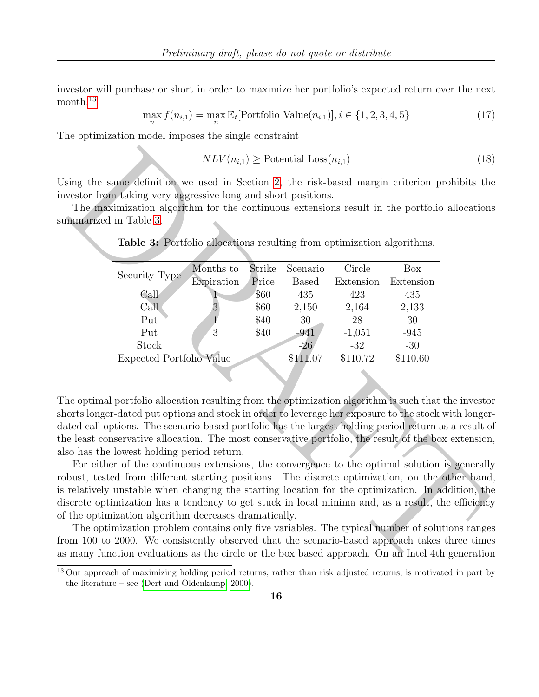investor will purchase or short in order to maximize her portfolio's expected return over the next  $month<sup>13</sup>$  $month<sup>13</sup>$  $month<sup>13</sup>$ 

$$
\max_{n} f(n_{i,1}) = \max_{n} \mathbb{E}_{t}[\text{Portfolio Value}(n_{i,1})], i \in \{1, 2, 3, 4, 5\}
$$
\n(17)

The optimization model imposes the single constraint

<span id="page-15-1"></span>
$$
NLV(n_{i,1}) \ge \text{Potential Loss}(n_{i,1})\tag{18}
$$

|                                                                                                                                                                                                                                                                                                                                                                                                                                                                                                                                                           |                         |                        | $NLV(n_{i,1}) \geq$ Potential Loss $(n_{i,1})$ |                         |                                                                                                                                                                                                                                  | (18) |
|-----------------------------------------------------------------------------------------------------------------------------------------------------------------------------------------------------------------------------------------------------------------------------------------------------------------------------------------------------------------------------------------------------------------------------------------------------------------------------------------------------------------------------------------------------------|-------------------------|------------------------|------------------------------------------------|-------------------------|----------------------------------------------------------------------------------------------------------------------------------------------------------------------------------------------------------------------------------|------|
| sing the same definition we used in Section 2, the risk-based margin criterion prohibits the<br>vestor from taking very aggressive long and short positions.<br>The maximization algorithm for the continuous extensions result in the portfolio allocation<br>mmarized in Table 3.                                                                                                                                                                                                                                                                       |                         |                        |                                                |                         |                                                                                                                                                                                                                                  |      |
| <b>Table 3:</b> Portfolio allocations resulting from optimization algorithms.                                                                                                                                                                                                                                                                                                                                                                                                                                                                             |                         |                        |                                                |                         |                                                                                                                                                                                                                                  |      |
| Security Type                                                                                                                                                                                                                                                                                                                                                                                                                                                                                                                                             | Months to<br>Expiration | <b>Strike</b><br>Price | Scenario<br><b>Based</b>                       | Circle<br>Extension     | Box<br>Extension                                                                                                                                                                                                                 |      |
| Call<br>Call                                                                                                                                                                                                                                                                                                                                                                                                                                                                                                                                              | 3                       | \$60<br>\$60           | 435<br>2,150                                   | 423<br>2,164            | 435<br>2,133                                                                                                                                                                                                                     |      |
| Put<br>Put<br>Stock                                                                                                                                                                                                                                                                                                                                                                                                                                                                                                                                       | 1<br>3                  | \$40<br>\$40           | 30<br>$-941$<br>$-26$                          | 28<br>$-1,051$<br>$-32$ | 30<br>$-945$<br>$-30$                                                                                                                                                                                                            |      |
| <b>Expected Portfolio Value</b>                                                                                                                                                                                                                                                                                                                                                                                                                                                                                                                           |                         |                        | \$111.07                                       | \$110.72                | \$110.60                                                                                                                                                                                                                         |      |
|                                                                                                                                                                                                                                                                                                                                                                                                                                                                                                                                                           |                         |                        |                                                |                         |                                                                                                                                                                                                                                  |      |
| he optimal portfolio allocation resulting from the optimization algorithm is such that the investo<br>orts longer-dated put options and stock in order to leverage her exposure to the stock with longer<br>ated call options. The scenario-based portfolio has the largest holding period return as a result of<br>e least conservative allocation. The most conservative portfolio, the result of the box extension<br>so has the lowest holding period return.                                                                                         |                         |                        |                                                |                         |                                                                                                                                                                                                                                  |      |
| For either of the continuous extensions, the convergence to the optimal solution is generally<br>bust, tested from different starting positions. The discrete optimization, on the other hand<br>relatively unstable when changing the starting location for the optimization. In addition, the<br>screte optimization has a tendency to get stuck in local minima and, as a result, the efficiency<br>the optimization algorithm decreases dramatically.<br>The optimization problem contains only five variables. The typical number of solutions range |                         |                        |                                                |                         |                                                                                                                                                                                                                                  |      |
| om 100 to 2000. We consistently observed that the scenario-based approach takes three time<br>many function evaluations as the circle or the box based approach. On an Intel 4th generation                                                                                                                                                                                                                                                                                                                                                               |                         |                        |                                                |                         | $\mathbf{r}$ and the state of the state of the state of the state of the state of the state of the state of the state of the state of the state of the state of the state of the state of the state of the state of the state of |      |

<span id="page-15-0"></span>Table 3: Portfolio allocations resulting from optimization algorithms.

 $13$  Our approach of maximizing holding period returns, rather than risk adjusted returns, is motivated in part by the literature – see [\(Dert and Oldenkamp, 2000\)](#page-21-1).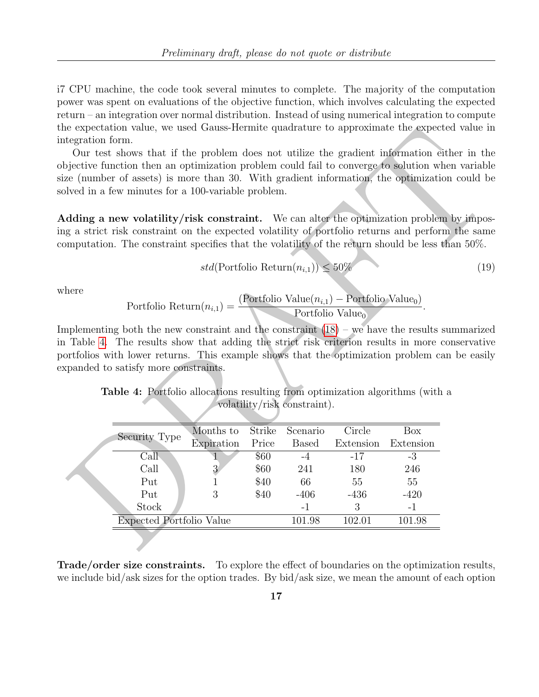i7 CPU machine, the code took several minutes to complete. The majority of the computation power was spent on evaluations of the objective function, which involves calculating the expected return – an integration over normal distribution. Instead of using numerical integration to compute the expectation value, we used Gauss-Hermite quadrature to approximate the expected value in integration form.

$$
std(Portfolio Return(n_{i,1})) \le 50\% \tag{19}
$$

<span id="page-16-0"></span>where

Portfolio Return
$$
(n_{i,1}) = \frac{\text{(Portfolio Value)}(n_{i,1}) - \text{Portfolio Value}_0)}{\text{Portfolio Value}_0}
$$

|                 | e expectation value, we used Gauss-Hermite quadrature to approximate the expected value ii.                                                                                                                                                                                                                                                                                                                                                                                                                                                                  |                |        |                                            |           |            |      |
|-----------------|--------------------------------------------------------------------------------------------------------------------------------------------------------------------------------------------------------------------------------------------------------------------------------------------------------------------------------------------------------------------------------------------------------------------------------------------------------------------------------------------------------------------------------------------------------------|----------------|--------|--------------------------------------------|-----------|------------|------|
| tegration form. | Our test shows that if the problem does not utilize the gradient information either in the<br>is precise function then an optimization problem could fail to converge to solution when variable<br>ze (number of assets) is more than 30. With gradient information, the optimization could be<br>lved in a few minutes for a 100-variable problem.                                                                                                                                                                                                          |                |        |                                            |           |            |      |
|                 | dding a new volatility/risk constraint. We can alter the optimization problem by impos                                                                                                                                                                                                                                                                                                                                                                                                                                                                       |                |        |                                            |           |            |      |
|                 | g a strict risk constraint on the expected volatility of portfolio returns and perform the same<br>mputation. The constraint specifies that the volatility of the return should be less than 50%.                                                                                                                                                                                                                                                                                                                                                            |                |        |                                            |           |            |      |
|                 |                                                                                                                                                                                                                                                                                                                                                                                                                                                                                                                                                              |                |        | $std(Portfolio Return(n_{i,1})) \leq 50\%$ |           |            | (19) |
| here            | Portfolio Return $(n_{i,1}) = \frac{\text{(Port folio Value}(n_{i,1}) - \text{Portfolio Value}_0)}{\text{Portfolio Value}_0}.$<br>is applementing both the new constraint and the constraint $(18)$ – we have the results summarized<br>Table 4. The results show that adding the strict risk criterion results in more conservative<br>preficion with lower returns. This example shows that the optimization problem can be easily<br>panded to satisfy more constraints.<br>Table 4: Portfolio allocations resulting from optimization algorithms (with a |                |        | volatility/risk constraint).               |           |            |      |
|                 |                                                                                                                                                                                                                                                                                                                                                                                                                                                                                                                                                              | Months to      | Strike | Scenario                                   | Circle    | <b>Box</b> |      |
|                 | Security Type                                                                                                                                                                                                                                                                                                                                                                                                                                                                                                                                                | Expiration     | Price  | <b>Based</b>                               | Extension | Extension  |      |
|                 | CaII                                                                                                                                                                                                                                                                                                                                                                                                                                                                                                                                                         |                | \$60   | $-4$                                       | $-17$     | $-3$       |      |
|                 | Call                                                                                                                                                                                                                                                                                                                                                                                                                                                                                                                                                         | $\overline{3}$ | \$60   | 241                                        | 180       | 246        |      |
|                 | Put                                                                                                                                                                                                                                                                                                                                                                                                                                                                                                                                                          | $\overline{1}$ | \$40   | 66                                         | 55        | 55         |      |
|                 | Put                                                                                                                                                                                                                                                                                                                                                                                                                                                                                                                                                          | 3              | \$40   | $-406$                                     | $-436$    | $-420$     |      |
|                 | Stock                                                                                                                                                                                                                                                                                                                                                                                                                                                                                                                                                        |                |        | $-1$                                       | 3         | $-1$       |      |
|                 | <b>Expected Portfolio Value</b>                                                                                                                                                                                                                                                                                                                                                                                                                                                                                                                              |                |        | 101.98                                     | 102.01    | 101.98     |      |
|                 |                                                                                                                                                                                                                                                                                                                                                                                                                                                                                                                                                              |                |        |                                            |           |            |      |

Trade/order size constraints. To explore the effect of boundaries on the optimization results, we include bid/ask sizes for the option trades. By bid/ask size, we mean the amount of each option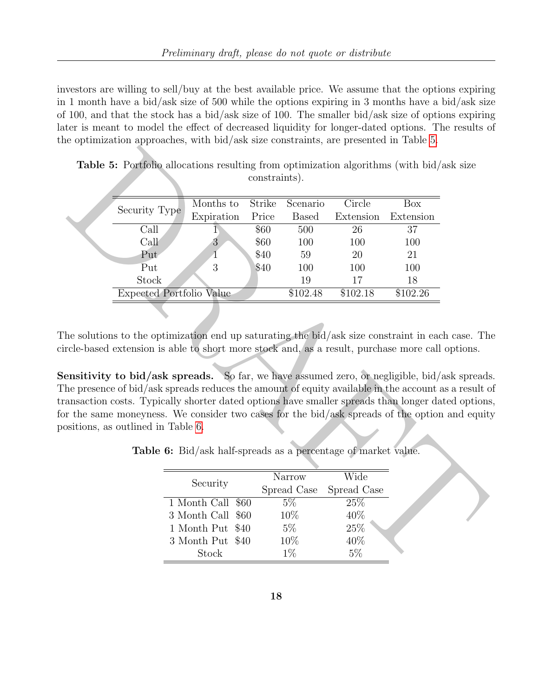investors are willing to sell/buy at the best available price. We assume that the options expiring in 1 month have a bid/ask size of 500 while the options expiring in 3 months have a bid/ask size of 100, and that the stock has a bid/ask size of 100. The smaller bid/ask size of options expiring later is meant to model the effect of decreased liquidity for longer-dated options. The results of the optimization approaches, with bid/ask size constraints, are presented in Table [5.](#page-17-0)

<span id="page-17-0"></span>

| <b>Table 5:</b> Portfolio allocations resulting from optimization algorithms (with bid/ask size |                                                                                                                                                                                                                                                                                                                                             |                  |      | constraints).         |              |                                                                |           |  |
|-------------------------------------------------------------------------------------------------|---------------------------------------------------------------------------------------------------------------------------------------------------------------------------------------------------------------------------------------------------------------------------------------------------------------------------------------------|------------------|------|-----------------------|--------------|----------------------------------------------------------------|-----------|--|
|                                                                                                 | Security Type                                                                                                                                                                                                                                                                                                                               | Months to        |      | Strike                | Scenario     | Circle                                                         | Box       |  |
|                                                                                                 |                                                                                                                                                                                                                                                                                                                                             | Expiration       |      | Price                 | <b>Based</b> | Extension                                                      | Extension |  |
|                                                                                                 | Call                                                                                                                                                                                                                                                                                                                                        |                  |      | \$60                  | 500          | 26                                                             | 37        |  |
|                                                                                                 | Call                                                                                                                                                                                                                                                                                                                                        | $\overline{3}$   |      | \$60                  | 100          | 100                                                            | 100       |  |
|                                                                                                 | Put                                                                                                                                                                                                                                                                                                                                         | 1                |      | \$40                  | 59           | 20                                                             | 21        |  |
|                                                                                                 | Put                                                                                                                                                                                                                                                                                                                                         | 3                |      | \$40                  | 100          | 100                                                            | 100       |  |
|                                                                                                 | Stock                                                                                                                                                                                                                                                                                                                                       |                  |      |                       | 19           | 17                                                             | 18        |  |
|                                                                                                 | <b>Expected Portfolio Value</b>                                                                                                                                                                                                                                                                                                             |                  |      |                       | \$102.48     | \$102.18                                                       | \$102.26  |  |
|                                                                                                 | he solutions to the optimization end up saturating the bid/ask size constraint in each case. The<br>rcle-based extension is able to short more stock and, as a result, purchase more call options.<br>ensitivity to bid/ask spreads. So far, we have assumed zero, or negligible, bid/ask spreads                                           |                  |      |                       |              |                                                                |           |  |
|                                                                                                 | he presence of bid/ask spreads reduces the amount of equity available in the account as a result of<br>ansaction costs. Typically shorter dated options have smaller spreads than longer dated options<br>r the same moneyness. We consider two cases for the bid/ask spreads of the option and equity<br>ositions, as outlined in Table 6. |                  |      |                       |              | Table 6: Bid/ask half-spreads as a percentage of market value. |           |  |
|                                                                                                 |                                                                                                                                                                                                                                                                                                                                             | Security         |      | Narrow<br>Spread Case |              | Wide<br>Spread Case                                            |           |  |
|                                                                                                 |                                                                                                                                                                                                                                                                                                                                             | 1 Month Call     | \$60 | $5\%$                 |              | 25\%                                                           |           |  |
|                                                                                                 |                                                                                                                                                                                                                                                                                                                                             | 3 Month Call     | \$60 | 10%                   |              | 40%                                                            |           |  |
|                                                                                                 |                                                                                                                                                                                                                                                                                                                                             | 1 Month Put \$40 |      | $5\%$                 |              | $25\%$                                                         |           |  |
|                                                                                                 |                                                                                                                                                                                                                                                                                                                                             | 3 Month Put \$40 |      | 10%                   |              | 40%                                                            |           |  |

Table 5: Portfolio allocations resulting from optimization algorithms (with bid/ask size constraints).

<span id="page-17-1"></span>Table 6: Bid/ask half-spreads as a percentage of market value.

|                   | Narrow      | Wide        |
|-------------------|-------------|-------------|
| Security          | Spread Case | Spread Case |
| 1 Month Call \$60 | 5%          | 25%         |
| 3 Month Call \$60 | 10\%        | 40%         |
| 1 Month Put \$40  | $5\%$       | 25%         |
| 3 Month Put \$40  | 10%         | 40%         |
| Stock             | $1\%$       | 5%          |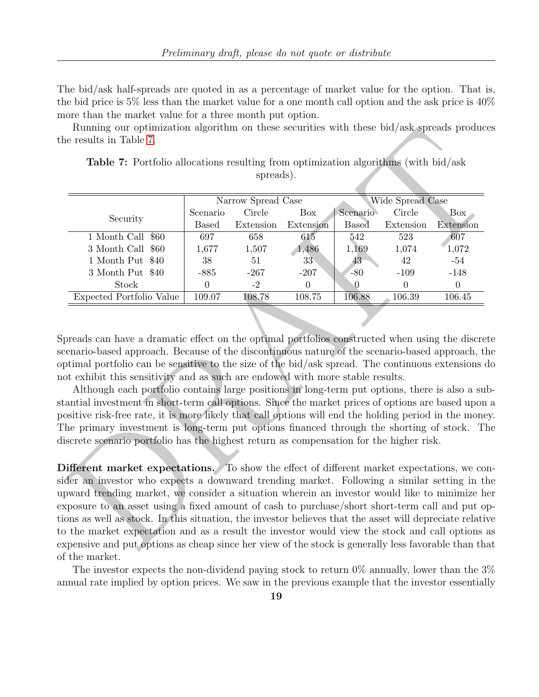The bid/ask half-spreads are quoted in as a percentage of market value for the option. That is, the bid price is 5% less than the market value for a one month call option and the ask price is 40% more than the market value for a three month put option.

Running our optimization algorithm on these securities with these bid/ask spreads produces the results in Table 7.

<span id="page-18-0"></span>

|                                                                                                                                                                                                                                                                                                                                                                                                                                                                                                                                                                                                                                                                                                                                                                                           |                  | spreads).          |                 |              |                  |                                                                                                 |
|-------------------------------------------------------------------------------------------------------------------------------------------------------------------------------------------------------------------------------------------------------------------------------------------------------------------------------------------------------------------------------------------------------------------------------------------------------------------------------------------------------------------------------------------------------------------------------------------------------------------------------------------------------------------------------------------------------------------------------------------------------------------------------------------|------------------|--------------------|-----------------|--------------|------------------|-------------------------------------------------------------------------------------------------|
|                                                                                                                                                                                                                                                                                                                                                                                                                                                                                                                                                                                                                                                                                                                                                                                           |                  | Narrow Spread Case |                 |              | Wide Spread Case |                                                                                                 |
| Security                                                                                                                                                                                                                                                                                                                                                                                                                                                                                                                                                                                                                                                                                                                                                                                  | Scenario         | Circle             | Box             | Scenario     | Circle           | Box                                                                                             |
|                                                                                                                                                                                                                                                                                                                                                                                                                                                                                                                                                                                                                                                                                                                                                                                           | <b>Based</b>     | Extension          | Extension       | <b>Based</b> | Extension        | Extension                                                                                       |
| 1 Month Call \$60                                                                                                                                                                                                                                                                                                                                                                                                                                                                                                                                                                                                                                                                                                                                                                         | 697              | 658                | 615             | 542          | 523              | 607                                                                                             |
| 3 Month Call<br>\$60                                                                                                                                                                                                                                                                                                                                                                                                                                                                                                                                                                                                                                                                                                                                                                      | 1,677            | 1,507              | 1,486           | 1,169        | 1,074            | 1,072                                                                                           |
| 1 Month Put<br>\$40                                                                                                                                                                                                                                                                                                                                                                                                                                                                                                                                                                                                                                                                                                                                                                       | 38               | 51                 | 33 <sub>1</sub> | 43           | 42               | $\text{-}54$                                                                                    |
| 3 Month Put \$40                                                                                                                                                                                                                                                                                                                                                                                                                                                                                                                                                                                                                                                                                                                                                                          | $-885$           | $-267$             | $-207$          | $-80$        | $-109$           | $-148$                                                                                          |
| Stock                                                                                                                                                                                                                                                                                                                                                                                                                                                                                                                                                                                                                                                                                                                                                                                     | $\boldsymbol{0}$ | $-2$               | $\theta$        | $\Omega$     | $\Omega$         | $\overline{0}$                                                                                  |
| Expected Portfolio Value                                                                                                                                                                                                                                                                                                                                                                                                                                                                                                                                                                                                                                                                                                                                                                  | 109.07           | 108.78             | 108.75          | 106.88       | 106.39           | 106.45                                                                                          |
|                                                                                                                                                                                                                                                                                                                                                                                                                                                                                                                                                                                                                                                                                                                                                                                           |                  |                    |                 |              |                  |                                                                                                 |
| enario-based approach. Because of the discontinuous nature of the scenario-based approach, the<br>otimal portfolio can be sensitive to the size of the bid/ask spread. The continuous extensions do<br>ot exhibit this sensitivity and as such are endowed with more stable results.<br>Although each portfolio contains large positions in long-term put options, there is also a sub<br>antial investment in short-term call options. Since the market prices of options are based upon<br>ositive risk-free rate, it is more likely that call options will end the holding period in the money<br>he primary investment is long-term put options financed through the shorting of stock. The<br>iscrete scenario portfolio has the highest return as compensation for the higher risk. |                  |                    |                 |              |                  | preads can have a dramatic effect on the optimal portfolios constructed when using the discrete |

Table 7: Portfolio allocations resulting from optimization algorithms (with bid/ask spreads).

Different market expectations. To show the effect of different market expectations, we consider an investor who expects a downward trending market. Following a similar setting in the upward trending market, we consider a situation wherein an investor would like to minimize her exposure to an asset using a fixed amount of cash to purchase/short short-term call and put options as well as stock. In this situation, the investor believes that the asset will depreciate relative to the market expectation and as a result the investor would view the stock and call options as expensive and put options as cheap since her view of the stock is generally less favorable than that of the market.

The investor expects the non-dividend paying stock to return  $0\%$  annually, lower than the  $3\%$ annual rate implied by option prices. We saw in the previous example that the investor essentially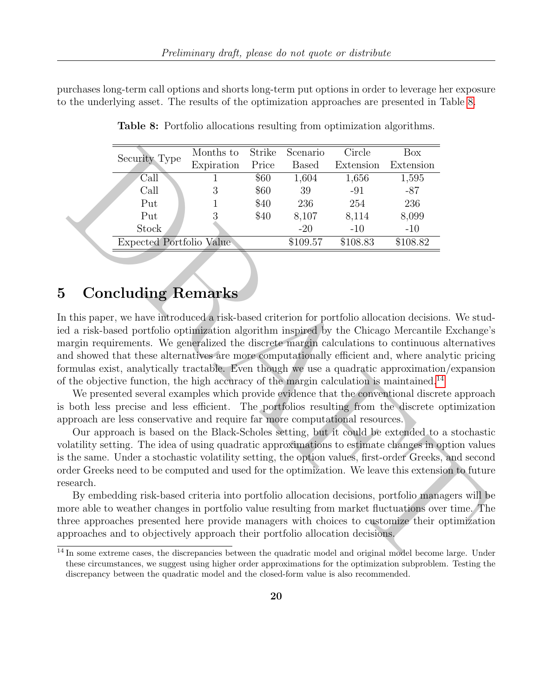<span id="page-19-0"></span>purchases long-term call options and shorts long-term put options in order to leverage her exposure to the underlying asset. The results of the optimization approaches are presented in Table [8.](#page-19-0)

|         |                                                                                                                                                                                                                                                                                                                                                                                                                                                                                                                                                                                                                                                                                                                                                                                                                                                                                                                                                                                                                                                                                                                                                                                                                                                                                                                                                                                                                                                                                         | Months to  | Strike | Scenario     | Circle    | Box       |  |
|---------|-----------------------------------------------------------------------------------------------------------------------------------------------------------------------------------------------------------------------------------------------------------------------------------------------------------------------------------------------------------------------------------------------------------------------------------------------------------------------------------------------------------------------------------------------------------------------------------------------------------------------------------------------------------------------------------------------------------------------------------------------------------------------------------------------------------------------------------------------------------------------------------------------------------------------------------------------------------------------------------------------------------------------------------------------------------------------------------------------------------------------------------------------------------------------------------------------------------------------------------------------------------------------------------------------------------------------------------------------------------------------------------------------------------------------------------------------------------------------------------------|------------|--------|--------------|-----------|-----------|--|
|         | Security Type                                                                                                                                                                                                                                                                                                                                                                                                                                                                                                                                                                                                                                                                                                                                                                                                                                                                                                                                                                                                                                                                                                                                                                                                                                                                                                                                                                                                                                                                           | Expiration | Price  | <b>Based</b> | Extension | Extension |  |
|         | Call                                                                                                                                                                                                                                                                                                                                                                                                                                                                                                                                                                                                                                                                                                                                                                                                                                                                                                                                                                                                                                                                                                                                                                                                                                                                                                                                                                                                                                                                                    | 1          | \$60   | 1,604        | 1,656     | 1,595     |  |
|         | Call                                                                                                                                                                                                                                                                                                                                                                                                                                                                                                                                                                                                                                                                                                                                                                                                                                                                                                                                                                                                                                                                                                                                                                                                                                                                                                                                                                                                                                                                                    | 3          | \$60   | 39           | $-91$     | $-87$     |  |
|         | Put                                                                                                                                                                                                                                                                                                                                                                                                                                                                                                                                                                                                                                                                                                                                                                                                                                                                                                                                                                                                                                                                                                                                                                                                                                                                                                                                                                                                                                                                                     | 1          | \$40   | 236          | 254       | 236       |  |
|         | Put                                                                                                                                                                                                                                                                                                                                                                                                                                                                                                                                                                                                                                                                                                                                                                                                                                                                                                                                                                                                                                                                                                                                                                                                                                                                                                                                                                                                                                                                                     | 3          | \$40   | 8,107        | 8,114     | 8,099     |  |
|         | Stock                                                                                                                                                                                                                                                                                                                                                                                                                                                                                                                                                                                                                                                                                                                                                                                                                                                                                                                                                                                                                                                                                                                                                                                                                                                                                                                                                                                                                                                                                   |            |        | $-20$        | $-10$     | $-10$     |  |
|         | <b>Expected Portfolio Value</b>                                                                                                                                                                                                                                                                                                                                                                                                                                                                                                                                                                                                                                                                                                                                                                                                                                                                                                                                                                                                                                                                                                                                                                                                                                                                                                                                                                                                                                                         |            |        | \$109.57     | \$108.83  | \$108.82  |  |
|         | <b>Concluding Remarks</b><br>this paper, we have introduced a risk-based criterion for portfolio allocation decisions. We stud<br>d a risk-based portfolio optimization algorithm inspired by the Chicago Mercantile Exchange'                                                                                                                                                                                                                                                                                                                                                                                                                                                                                                                                                                                                                                                                                                                                                                                                                                                                                                                                                                                                                                                                                                                                                                                                                                                          |            |        |              |           |           |  |
| search. | argin requirements. We generalized the discrete margin calculations to continuous alternative<br>d showed that these alternatives are more computationally efficient and, where analytic pricing<br>rmulas exist, analytically tractable. Even though we use a quadratic approximation/expansion<br>the objective function, the high accuracy of the margin calculation is maintained. <sup>14</sup><br>We presented several examples which provide evidence that the conventional discrete approach<br>both less precise and less efficient. The portfolios resulting from the discrete optimization<br>oproach are less conservative and require far more computational resources.<br>Our approach is based on the Black-Scholes setting, but it could be extended to a stochastic<br>platility setting. The idea of using quadratic approximations to estimate changes in option value<br>the same. Under a stochastic volatility setting, the option values, first-order Greeks, and second<br>der Greeks need to be computed and used for the optimization. We leave this extension to future<br>By embedding risk-based criteria into portfolio allocation decisions, portfolio managers will be<br>ore able to weather changes in portfolio value resulting from market fluctuations over time. The<br>ree approaches presented here provide managers with choices to customize their optimization<br>proaches and to objectively approach their portfolio allocation decisions. |            |        |              |           |           |  |
|         | In some extreme cases, the discrepancies between the quadratic model and original model become large. Unde<br>these circumstances, we suggest using higher order approximations for the optimization subproblem. Testing the                                                                                                                                                                                                                                                                                                                                                                                                                                                                                                                                                                                                                                                                                                                                                                                                                                                                                                                                                                                                                                                                                                                                                                                                                                                            |            |        |              |           |           |  |

Table 8: Portfolio allocations resulting from optimization algorithms.

## 5 Concluding Remarks

<sup>&</sup>lt;sup>14</sup> In some extreme cases, the discrepancies between the quadratic model and original model become large. Under these circumstances, we suggest using higher order approximations for the optimization subproblem. Testing the discrepancy between the quadratic model and the closed-form value is also recommended.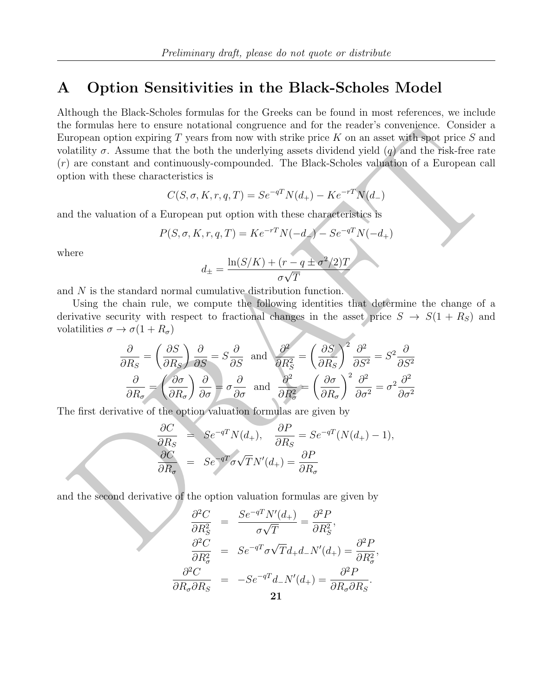## <span id="page-20-0"></span>A Option Sensitivities in the Black-Scholes Model

Formulas once consider the both the underlying assess through an option explores a point of the second consider  $\sigma$ . Assume that the both the underlying a set with stills price K on an asset with spit price S and the sin Although the Black-Scholes formulas for the Greeks can be found in most references, we include the formulas here to ensure notational congruence and for the reader's convenience. Consider a European option expiring  $T$  years from now with strike price  $K$  on an asset with spot price  $S$  and volatility  $\sigma$ . Assume that the both the underlying assets dividend yield  $(q)$  and the risk-free rate (r) are constant and continuously-compounded. The Black-Scholes valuation of a European call option with these characteristics is

$$
C(S, \sigma, K, r, q, T) = Se^{-qT}N(d_{+}) - Ke^{-rT}N(d_{-})
$$

and the valuation of a European put option with these characteristics is

$$
P(S, \sigma, K, r, q, T) = Ke^{-rT}N(-d_{-}) - Se^{-qT}N(-d_{+})
$$

where

$$
d_{\pm} = \frac{\ln(S/K) + (r - q \pm \sigma^2/2)T}{\sigma\sqrt{T}}
$$

and N is the standard normal cumulative distribution function.

Using the chain rule, we compute the following identities that determine the change of a derivative security with respect to fractional changes in the asset price  $S \to S(1 + R_S)$  and volatilities  $\sigma \to \sigma(1 + R_{\sigma})$ 

$$
\frac{\partial}{\partial R_S} = \left(\frac{\partial S}{\partial R_S}\right) \frac{\partial}{\partial S} = S \frac{\partial}{\partial S} \text{ and } \frac{\partial^2}{\partial R_S^2} = \left(\frac{\partial S}{\partial R_S}\right)^2 \frac{\partial^2}{\partial S^2} = S^2 \frac{\partial}{\partial S^2}
$$

$$
\frac{\partial}{\partial R_\sigma} = \left(\frac{\partial \sigma}{\partial R_\sigma}\right) \frac{\partial}{\partial \sigma} = \sigma \frac{\partial}{\partial \sigma} \text{ and } \frac{\partial^2}{\partial R_\sigma^2} = \left(\frac{\partial \sigma}{\partial R_\sigma}\right)^2 \frac{\partial^2}{\partial \sigma^2} = \sigma^2 \frac{\partial^2}{\partial \sigma^2}
$$

The first derivative of the option valuation formulas are given by

$$
\frac{\partial C}{\partial R_S} = S e^{-qT} N(d_+), \quad \frac{\partial P}{\partial R_S} = S e^{-qT} (N(d_+) - 1),
$$

$$
\frac{\partial C}{\partial R_\sigma} = S e^{-qT} \sigma \sqrt{T} N'(d_+) = \frac{\partial P}{\partial R_\sigma}
$$

and the second derivative of the option valuation formulas are given by

$$
\frac{\partial^2 C}{\partial R_S^2} = \frac{Se^{-qT}N'(d_+)}{\sigma\sqrt{T}} = \frac{\partial^2 P}{\partial R_S^2},
$$

$$
\frac{\partial^2 C}{\partial R_\sigma^2} = Se^{-qT}\sigma\sqrt{T}d_+d_-N'(d_+) = \frac{\partial^2 P}{\partial R_\sigma^2},
$$

$$
\frac{\partial^2 C}{\partial R_\sigma \partial R_S} = -Se^{-qT}d_-N'(d_+) = \frac{\partial^2 P}{\partial R_\sigma \partial R_S}.
$$
21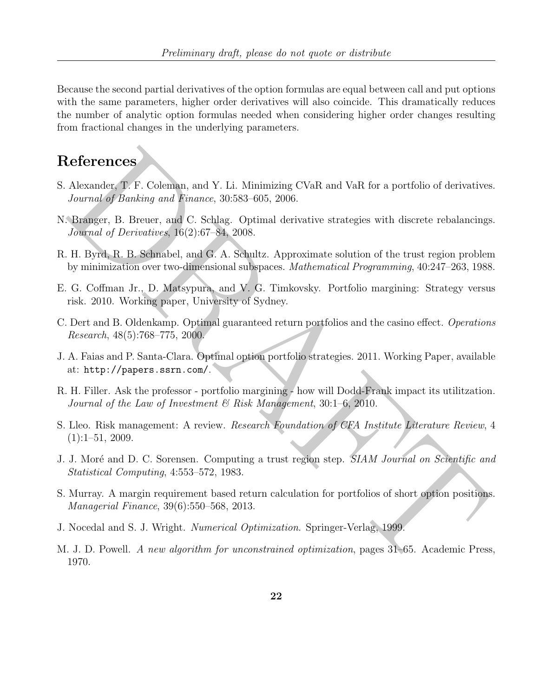Because the second partial derivatives of the option formulas are equal between call and put options with the same parameters, higher order derivatives will also coincide. This dramatically reduces the number of analytic option formulas needed when considering higher order changes resulting from fractional changes in the underlying parameters.

## References

- <span id="page-21-2"></span><span id="page-21-0"></span>S. Alexander, T. F. Coleman, and Y. Li. Minimizing CVaR and VaR for a portfolio of derivatives. Journal of Banking and Finance, 30:583–605, 2006.
- **Leferrences**<br>
Alexander, T. F. Coleman, and Y. Li. Minimizing CVaR and VaR for a portfolio of derivatives<br>
Journal of Banking and Emanoc, 30:583-605, 2006.<br>
Brigger, B. Breuer, and C. Schlag, Optimal derivative strategie N. Branger, B. Breuer, and C. Schlag. Optimal derivative strategies with discrete rebalancings. Journal of Derivatives, 16(2):67–84, 2008.
- <span id="page-21-11"></span>R. H. Byrd, R. B. Schnabel, and G. A. Schultz. Approximate solution of the trust region problem by minimization over two-dimensional subspaces. Mathematical Programming, 40:247–263, 1988.
- <span id="page-21-6"></span>E. G. Coffman Jr., D. Matsypura, and V. G. Timkovsky. Portfolio margining: Strategy versus risk. 2010. Working paper, University of Sydney.
- <span id="page-21-1"></span>C. Dert and B. Oldenkamp. Optimal guaranteed return portfolios and the casino effect. Operations Research, 48(5):768–775, 2000.
- <span id="page-21-3"></span>J. A. Faias and P. Santa-Clara. Optimal option portfolio strategies. 2011. Working Paper, available at: http://papers.ssrn.com/.
- <span id="page-21-7"></span>R. H. Filler. Ask the professor - portfolio margining - how will Dodd-Frank impact its utilitzation. Journal of the Law of Investment  $\mathcal{B}$  Risk Management, 30:1–6, 2010.
- <span id="page-21-4"></span>S. Lleo. Risk management: A review. *Research Foundation of CFA Institute Literature Review*, 4  $(1):1-51, 2009.$
- <span id="page-21-9"></span>J. J. Moré and D. C. Sorensen. Computing a trust region step. SIAM Journal on Scientific and Statistical Computing, 4:553–572, 1983.
- <span id="page-21-5"></span>S. Murray. A margin requirement based return calculation for portfolios of short option positions. Managerial Finance, 39(6):550–568, 2013.
- <span id="page-21-8"></span>J. Nocedal and S. J. Wright. Numerical Optimization. Springer-Verlag, 1999.
- <span id="page-21-10"></span>M. J. D. Powell. A new algorithm for unconstrained optimization, pages 31–65. Academic Press, 1970.